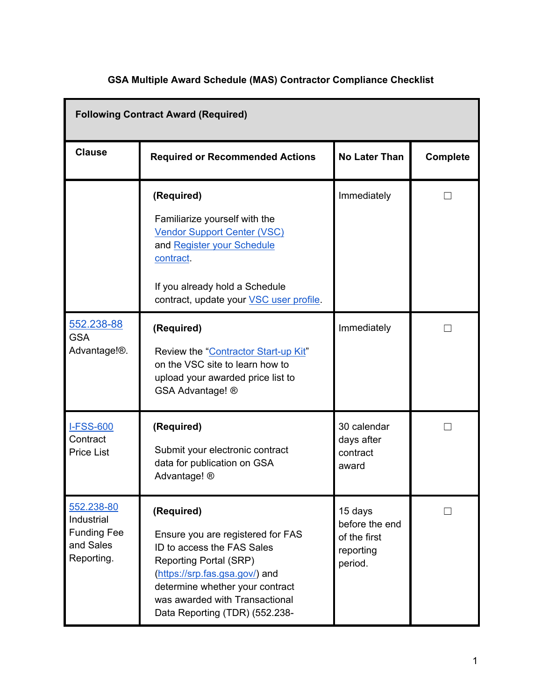| <b>Following Contract Award (Required)</b>                                |                                                                                                                                                                                                                                                         |                                                                   |          |
|---------------------------------------------------------------------------|---------------------------------------------------------------------------------------------------------------------------------------------------------------------------------------------------------------------------------------------------------|-------------------------------------------------------------------|----------|
| <b>Clause</b>                                                             | <b>Required or Recommended Actions</b>                                                                                                                                                                                                                  | <b>No Later Than</b>                                              | Complete |
|                                                                           | (Required)<br>Familiarize yourself with the<br><b>Vendor Support Center (VSC)</b><br>and Register your Schedule<br>contract.<br>If you already hold a Schedule<br>contract, update your VSC user profile.                                               | Immediately                                                       |          |
| 552.238-88<br><b>GSA</b><br>Advantage! <sup>®</sup> .                     | (Required)<br>Review the "Contractor Start-up Kit"<br>on the VSC site to learn how to<br>upload your awarded price list to<br>GSA Advantage! ®                                                                                                          | Immediately                                                       |          |
| <b>I-FSS-600</b><br>Contract<br><b>Price List</b>                         | (Required)<br>Submit your electronic contract<br>data for publication on GSA<br>Advantage! ®                                                                                                                                                            | 30 calendar<br>days after<br>contract<br>award                    |          |
| 552.238-80<br>Industrial<br><b>Funding Fee</b><br>and Sales<br>Reporting. | (Required)<br>Ensure you are registered for FAS<br>ID to access the FAS Sales<br><b>Reporting Portal (SRP)</b><br>(https://srp.fas.gsa.gov/) and<br>determine whether your contract<br>was awarded with Transactional<br>Data Reporting (TDR) (552.238- | 15 days<br>before the end<br>of the first<br>reporting<br>period. |          |

## **GSA Multiple Award Schedule (MAS) Contractor Compliance Checklist**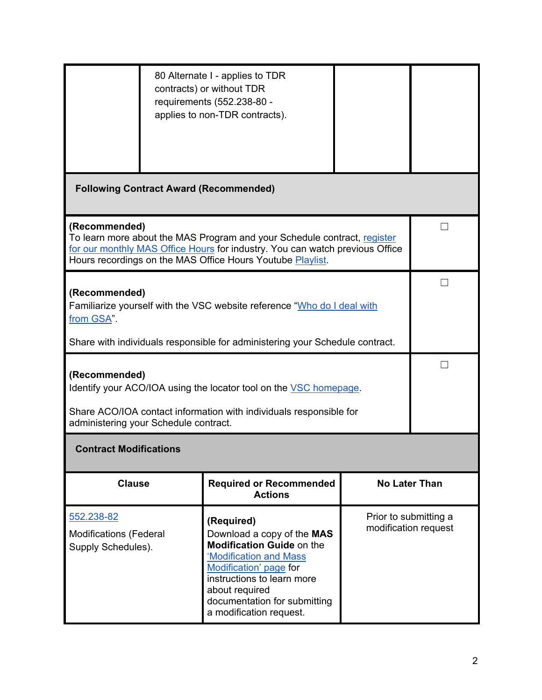| 552.238-82<br><b>Modifications (Federal</b><br>Supply Schedules).                                                                                                     |                                                                                                                                                                                                                                         | <b>Actions</b><br>(Required)<br>Download a copy of the MAS<br><b>Modification Guide on the</b><br>'Modification and Mass<br>Modification' page for<br>instructions to learn more<br>about required | Prior to submitting a<br>modification request |                      |
|-----------------------------------------------------------------------------------------------------------------------------------------------------------------------|-----------------------------------------------------------------------------------------------------------------------------------------------------------------------------------------------------------------------------------------|----------------------------------------------------------------------------------------------------------------------------------------------------------------------------------------------------|-----------------------------------------------|----------------------|
| <b>Clause</b>                                                                                                                                                         |                                                                                                                                                                                                                                         | <b>Required or Recommended</b>                                                                                                                                                                     |                                               | <b>No Later Than</b> |
| <b>Contract Modifications</b>                                                                                                                                         |                                                                                                                                                                                                                                         |                                                                                                                                                                                                    |                                               |                      |
| Share ACO/IOA contact information with individuals responsible for<br>administering your Schedule contract.                                                           |                                                                                                                                                                                                                                         |                                                                                                                                                                                                    |                                               |                      |
| Identify your ACO/IOA using the locator tool on the VSC homepage.                                                                                                     |                                                                                                                                                                                                                                         |                                                                                                                                                                                                    |                                               |                      |
| (Recommended)                                                                                                                                                         |                                                                                                                                                                                                                                         |                                                                                                                                                                                                    |                                               |                      |
| Familiarize yourself with the VSC website reference "Who do I deal with<br>from GSA".<br>Share with individuals responsible for administering your Schedule contract. |                                                                                                                                                                                                                                         |                                                                                                                                                                                                    |                                               |                      |
| (Recommended)                                                                                                                                                         |                                                                                                                                                                                                                                         |                                                                                                                                                                                                    |                                               |                      |
|                                                                                                                                                                       | (Recommended)<br>To learn more about the MAS Program and your Schedule contract, register<br>for our monthly MAS Office Hours for industry. You can watch previous Office<br>Hours recordings on the MAS Office Hours Youtube Playlist. |                                                                                                                                                                                                    |                                               |                      |
|                                                                                                                                                                       |                                                                                                                                                                                                                                         | <b>Following Contract Award (Recommended)</b>                                                                                                                                                      |                                               |                      |
|                                                                                                                                                                       |                                                                                                                                                                                                                                         |                                                                                                                                                                                                    |                                               |                      |
|                                                                                                                                                                       |                                                                                                                                                                                                                                         | 80 Alternate I - applies to TDR<br>contracts) or without TDR<br>requirements (552.238-80 -<br>applies to non-TDR contracts).                                                                       |                                               |                      |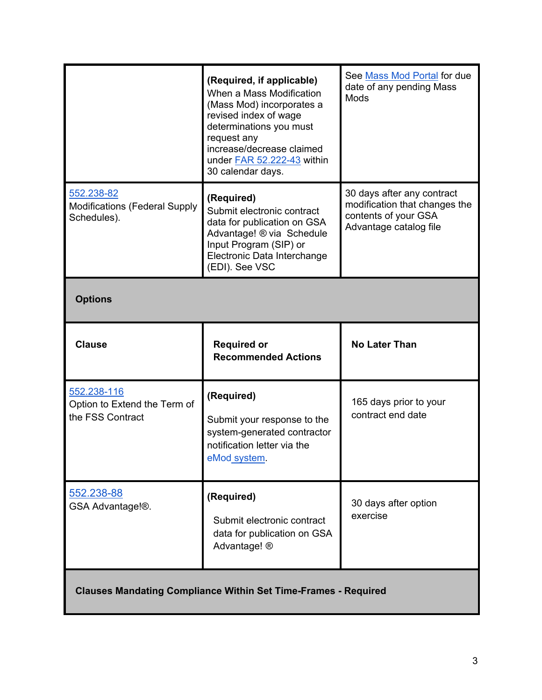|                                                                   | (Required, if applicable)<br>When a Mass Modification<br>(Mass Mod) incorporates a<br>revised index of wage<br>determinations you must<br>request any<br>increase/decrease claimed<br>under FAR 52.222-43 within<br>30 calendar days. | See Mass Mod Portal for due<br>date of any pending Mass<br><b>Mods</b>                                        |
|-------------------------------------------------------------------|---------------------------------------------------------------------------------------------------------------------------------------------------------------------------------------------------------------------------------------|---------------------------------------------------------------------------------------------------------------|
| 552.238-82<br><b>Modifications (Federal Supply</b><br>Schedules). | (Required)<br>Submit electronic contract<br>data for publication on GSA<br>Advantage! ® via Schedule<br>Input Program (SIP) or<br>Electronic Data Interchange<br>(EDI). See VSC                                                       | 30 days after any contract<br>modification that changes the<br>contents of your GSA<br>Advantage catalog file |
| <b>Options</b>                                                    |                                                                                                                                                                                                                                       |                                                                                                               |
| <b>Clause</b>                                                     | <b>Required or</b><br><b>Recommended Actions</b>                                                                                                                                                                                      | <b>No Later Than</b>                                                                                          |
| 552.238-116<br>Option to Extend the Term of<br>the FSS Contract   | (Required)<br>Submit your response to the<br>system-generated contractor<br>notification letter via the<br>eMod system.                                                                                                               | 165 days prior to your<br>contract end date                                                                   |
| 552.238-88<br>GSA Advantage!®.                                    | (Required)<br>Submit electronic contract<br>data for publication on GSA                                                                                                                                                               | 30 days after option<br>exercise                                                                              |
|                                                                   | Advantage! ®                                                                                                                                                                                                                          |                                                                                                               |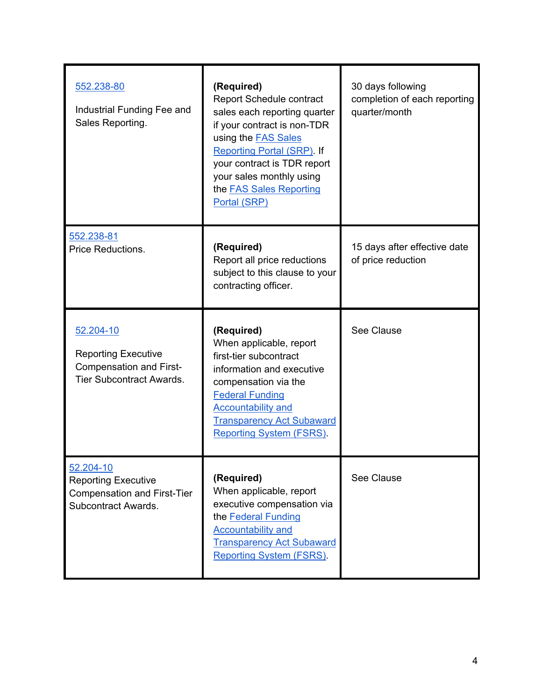| 552.238-80<br>Industrial Funding Fee and<br>Sales Reporting.                                                 | (Required)<br><b>Report Schedule contract</b><br>sales each reporting quarter<br>if your contract is non-TDR<br>using the <b>FAS Sales</b><br><b>Reporting Portal (SRP). If</b><br>your contract is TDR report<br>your sales monthly using<br>the <b>FAS Sales Reporting</b><br>Portal (SRP) | 30 days following<br>completion of each reporting<br>quarter/month |
|--------------------------------------------------------------------------------------------------------------|----------------------------------------------------------------------------------------------------------------------------------------------------------------------------------------------------------------------------------------------------------------------------------------------|--------------------------------------------------------------------|
| 552.238-81<br>Price Reductions.                                                                              | (Required)<br>Report all price reductions<br>subject to this clause to your<br>contracting officer.                                                                                                                                                                                          | 15 days after effective date<br>of price reduction                 |
| 52.204-10<br><b>Reporting Executive</b><br><b>Compensation and First-</b><br><b>Tier Subcontract Awards.</b> | (Required)<br>When applicable, report<br>first-tier subcontract<br>information and executive<br>compensation via the<br><b>Federal Funding</b><br><b>Accountability and</b><br><b>Transparency Act Subaward</b><br><b>Reporting System (FSRS)</b>                                            | See Clause                                                         |
| 52.204-10<br><b>Reporting Executive</b><br><b>Compensation and First-Tier</b><br>Subcontract Awards.         | (Required)<br>When applicable, report<br>executive compensation via<br>the Federal Funding<br><b>Accountability and</b><br><b>Transparency Act Subaward</b><br><b>Reporting System (FSRS)</b>                                                                                                | <b>See Clause</b>                                                  |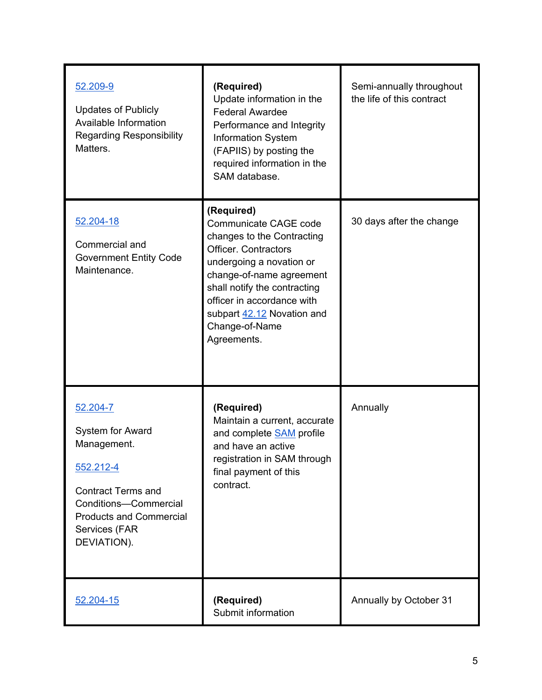| 52.209-9<br><b>Updates of Publicly</b><br>Available Information<br><b>Regarding Responsibility</b><br>Matters.                                                                          | (Required)<br>Update information in the<br><b>Federal Awardee</b><br>Performance and Integrity<br><b>Information System</b><br>(FAPIIS) by posting the<br>required information in the<br>SAM database.                                                                                | Semi-annually throughout<br>the life of this contract |
|-----------------------------------------------------------------------------------------------------------------------------------------------------------------------------------------|---------------------------------------------------------------------------------------------------------------------------------------------------------------------------------------------------------------------------------------------------------------------------------------|-------------------------------------------------------|
| 52.204-18<br>Commercial and<br><b>Government Entity Code</b><br>Maintenance.                                                                                                            | (Required)<br>Communicate CAGE code<br>changes to the Contracting<br><b>Officer, Contractors</b><br>undergoing a novation or<br>change-of-name agreement<br>shall notify the contracting<br>officer in accordance with<br>subpart 42.12 Novation and<br>Change-of-Name<br>Agreements. | 30 days after the change                              |
| 52.204-7<br><b>System for Award</b><br>Management.<br>552.212-4<br><b>Contract Terms and</b><br>Conditions-Commercial<br><b>Products and Commercial</b><br>Services (FAR<br>DEVIATION). | (Required)<br>Maintain a current, accurate<br>and complete <b>SAM</b> profile<br>and have an active<br>registration in SAM through<br>final payment of this<br>contract.                                                                                                              | Annually                                              |
| 52.204-15                                                                                                                                                                               | (Required)<br>Submit information                                                                                                                                                                                                                                                      | Annually by October 31                                |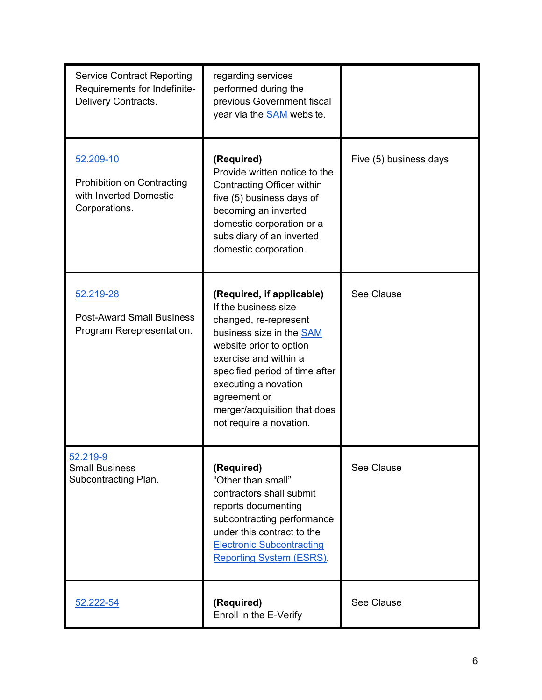| <b>Service Contract Reporting</b><br>Requirements for Indefinite-<br>Delivery Contracts.  | regarding services<br>performed during the<br>previous Government fiscal<br>year via the <b>SAM</b> website.                                                                                                                                                                                    |                        |
|-------------------------------------------------------------------------------------------|-------------------------------------------------------------------------------------------------------------------------------------------------------------------------------------------------------------------------------------------------------------------------------------------------|------------------------|
| 52.209-10<br><b>Prohibition on Contracting</b><br>with Inverted Domestic<br>Corporations. | (Required)<br>Provide written notice to the<br>Contracting Officer within<br>five (5) business days of<br>becoming an inverted<br>domestic corporation or a<br>subsidiary of an inverted<br>domestic corporation.                                                                               | Five (5) business days |
| 52.219-28<br><b>Post-Award Small Business</b><br>Program Rerepresentation.                | (Required, if applicable)<br>If the business size<br>changed, re-represent<br>business size in the SAM<br>website prior to option<br>exercise and within a<br>specified period of time after<br>executing a novation<br>agreement or<br>merger/acquisition that does<br>not require a novation. | See Clause             |
| 52.219-9<br><b>Small Business</b><br>Subcontracting Plan.                                 | (Required)<br>"Other than small"<br>contractors shall submit<br>reports documenting<br>subcontracting performance<br>under this contract to the<br><b>Electronic Subcontracting</b><br><b>Reporting System (ESRS).</b>                                                                          | See Clause             |
| 52.222-54                                                                                 | (Required)<br>Enroll in the E-Verify                                                                                                                                                                                                                                                            | See Clause             |